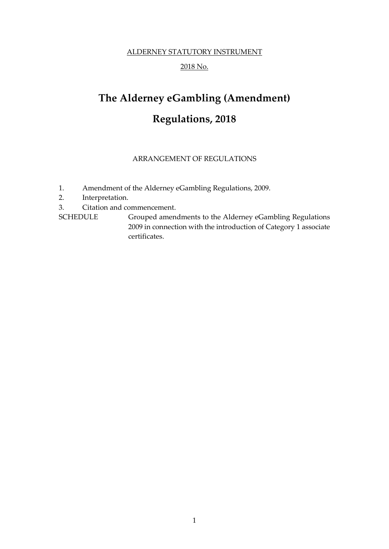# ALDERNEY STATUTORY INSTRUMENT

# 2018 No.

# **The Alderney eGambling (Amendment) Regulations, 2018**

## ARRANGEMENT OF REGULATIONS

- 1. Amendment of the Alderney eGambling Regulations, 2009.
- 2. Interpretation.
- 3. Citation and commencement.

SCHEDULE Grouped amendments to the Alderney eGambling Regulations 2009 in connection with the introduction of Category 1 associate certificates.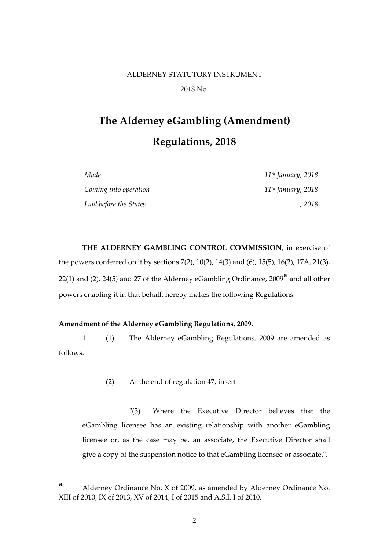# ALDERNEY STATUTORY INSTRUMENT 2018 No.

# **The Alderney eGambling (Amendment) Regulations, 2018**

| Made                   | $11$ <sup>th</sup> January, 2018 |
|------------------------|----------------------------------|
| Coming into operation  | 11 <sup>th</sup> January, 2018   |
| Laid before the States | . 2018                           |

**THE ALDERNEY GAMBLING CONTROL COMMISSION**, in exercise of the powers conferred on it by sections 7(2), 10(2), 14(3) and (6), 15(5), 16(2), 17A, 21(3), 22(1) and (2), 24(5) and 27 of the Alderney eGambling Ordinance, 2009**<sup>a</sup>** and all other powers enabling it in that behalf, hereby makes the following Regulations:-

#### **Amendment of the Alderney eGambling Regulations, 2009**.

1. (1) The Alderney eGambling Regulations, 2009 are amended as follows.

(2) At the end of regulation 47, insert –

"(3) Where the Executive Director believes that the eGambling licensee has an existing relationship with another eGambling licensee or, as the case may be, an associate, the Executive Director shall give a copy of the suspension notice to that eGambling licensee or associate.".

\_\_\_\_\_\_\_\_\_\_\_\_\_\_\_\_\_\_\_\_\_\_\_\_\_\_\_\_\_\_\_\_\_\_\_\_\_\_\_\_\_\_\_\_\_\_\_\_\_\_\_\_\_\_\_\_\_\_\_\_\_\_\_\_\_\_\_\_\_

**<sup>a</sup>** Alderney Ordinance No. X of 2009, as amended by Alderney Ordinance No. XIII of 2010, IX of 2013, XV of 2014, I of 2015 and A.S.I. I of 2010.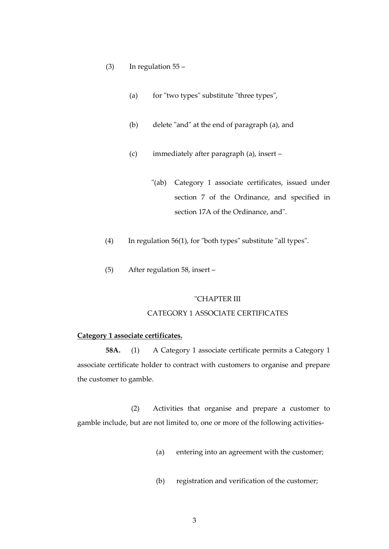- (3) In regulation  $55 -$ 
	- (a) for "two types" substitute "three types",
	- (b) delete "and" at the end of paragraph (a), and
	- (c) immediately after paragraph (a), insert
		- "(ab) Category 1 associate certificates, issued under section 7 of the Ordinance, and specified in section 17A of the Ordinance, and".
- (4) In regulation 56(1), for "both types" substitute "all types".
- (5) After regulation 58, insert –

#### "CHAPTER III

### CATEGORY 1 ASSOCIATE CERTIFICATES

#### **Category 1 associate certificates.**

**58A.** (1) A Category 1 associate certificate permits a Category 1 associate certificate holder to contract with customers to organise and prepare the customer to gamble.

(2) Activities that organise and prepare a customer to gamble include, but are not limited to, one or more of the following activities-

- (a) entering into an agreement with the customer;
- (b) registration and verification of the customer;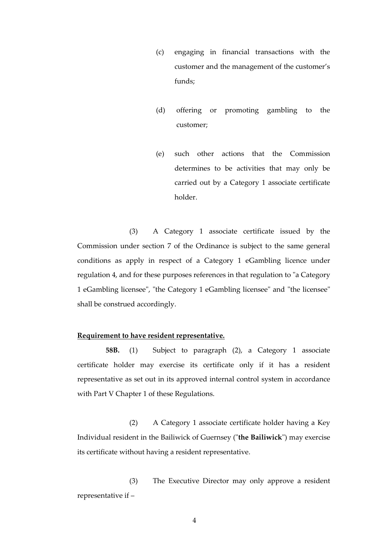- (c) engaging in financial transactions with the customer and the management of the customer's funds;
- (d) offering or promoting gambling to the customer;
- (e) such other actions that the Commission determines to be activities that may only be carried out by a Category 1 associate certificate holder.

(3) A Category 1 associate certificate issued by the Commission under section 7 of the Ordinance is subject to the same general conditions as apply in respect of a Category 1 eGambling licence under regulation 4, and for these purposes references in that regulation to "a Category 1 eGambling licensee", "the Category 1 eGambling licensee" and "the licensee" shall be construed accordingly.

#### **Requirement to have resident representative.**

**58B.** (1) Subject to paragraph (2), a Category 1 associate certificate holder may exercise its certificate only if it has a resident representative as set out in its approved internal control system in accordance with Part V Chapter 1 of these Regulations.

(2) A Category 1 associate certificate holder having a Key Individual resident in the Bailiwick of Guernsey ("**the Bailiwick**") may exercise its certificate without having a resident representative.

(3) The Executive Director may only approve a resident representative if –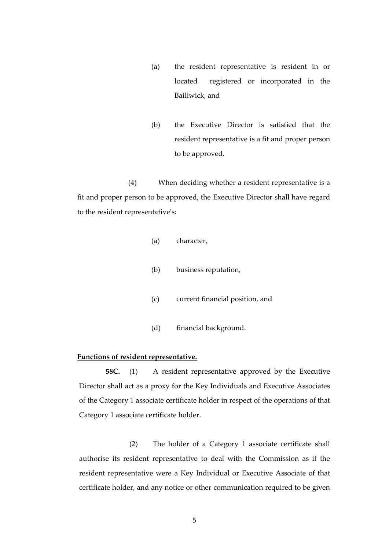- (a) the resident representative is resident in or located registered or incorporated in the Bailiwick, and
- (b) the Executive Director is satisfied that the resident representative is a fit and proper person to be approved.

(4) When deciding whether a resident representative is a fit and proper person to be approved, the Executive Director shall have regard to the resident representative's:

- (a) character,
- (b) business reputation,
- (c) current financial position, and
- (d) financial background.

### **Functions of resident representative.**

**58C.** (1) A resident representative approved by the Executive Director shall act as a proxy for the Key Individuals and Executive Associates of the Category 1 associate certificate holder in respect of the operations of that Category 1 associate certificate holder.

(2) The holder of a Category 1 associate certificate shall authorise its resident representative to deal with the Commission as if the resident representative were a Key Individual or Executive Associate of that certificate holder, and any notice or other communication required to be given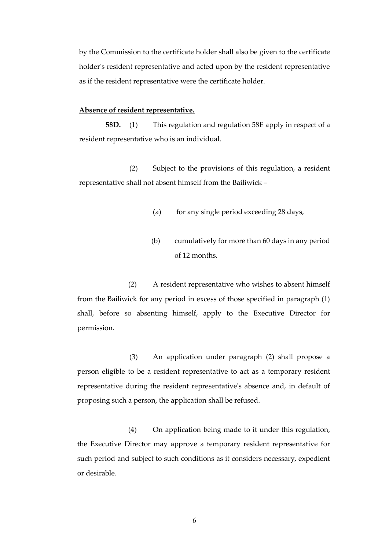by the Commission to the certificate holder shall also be given to the certificate holder's resident representative and acted upon by the resident representative as if the resident representative were the certificate holder.

#### **Absence of resident representative.**

**58D.** (1) This regulation and regulation 58E apply in respect of a resident representative who is an individual.

(2) Subject to the provisions of this regulation, a resident representative shall not absent himself from the Bailiwick –

- (a) for any single period exceeding 28 days,
- (b) cumulatively for more than 60 days in any period of 12 months.

(2) A resident representative who wishes to absent himself from the Bailiwick for any period in excess of those specified in paragraph (1) shall, before so absenting himself, apply to the Executive Director for permission.

(3) An application under paragraph (2) shall propose a person eligible to be a resident representative to act as a temporary resident representative during the resident representative's absence and, in default of proposing such a person, the application shall be refused.

(4) On application being made to it under this regulation, the Executive Director may approve a temporary resident representative for such period and subject to such conditions as it considers necessary, expedient or desirable.

6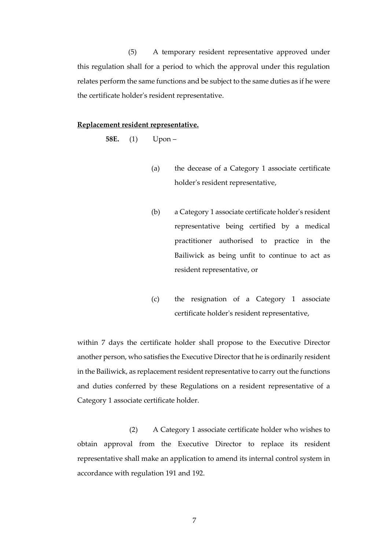(5) A temporary resident representative approved under this regulation shall for a period to which the approval under this regulation relates perform the same functions and be subject to the same duties as if he were the certificate holder's resident representative.

#### **Replacement resident representative.**

**58E.** (1) Upon –

- (a) the decease of a Category 1 associate certificate holder's resident representative,
- (b) a Category 1 associate certificate holder's resident representative being certified by a medical practitioner authorised to practice in the Bailiwick as being unfit to continue to act as resident representative, or
- (c) the resignation of a Category 1 associate certificate holder's resident representative,

within 7 days the certificate holder shall propose to the Executive Director another person, who satisfies the Executive Director that he is ordinarily resident in the Bailiwick, as replacement resident representative to carry out the functions and duties conferred by these Regulations on a resident representative of a Category 1 associate certificate holder.

(2) A Category 1 associate certificate holder who wishes to obtain approval from the Executive Director to replace its resident representative shall make an application to amend its internal control system in accordance with regulation 191 and 192.

7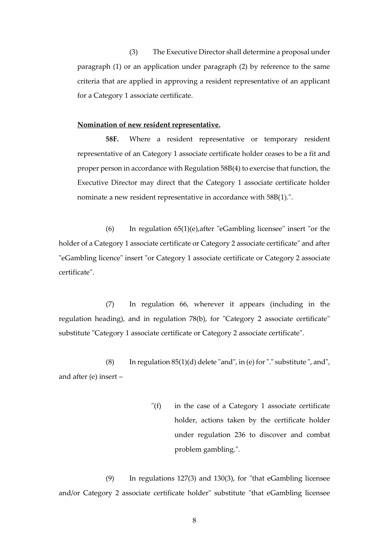(3) The Executive Director shall determine a proposal under paragraph (1) or an application under paragraph (2) by reference to the same criteria that are applied in approving a resident representative of an applicant for a Category 1 associate certificate.

#### **Nomination of new resident representative.**

**58F.** Where a resident representative or temporary resident representative of an Category 1 associate certificate holder ceases to be a fit and proper person in accordance with Regulation 58B(4) to exercise that function, the Executive Director may direct that the Category 1 associate certificate holder nominate a new resident representative in accordance with 58B(1).".

(6) In regulation 65(1)(e),after "eGambling licensee" insert "or the holder of a Category 1 associate certificate or Category 2 associate certificate" and after "eGambling licence" insert "or Category 1 associate certificate or Category 2 associate certificate".

(7) In regulation 66, wherever it appears (including in the regulation heading), and in regulation 78(b), for "Category 2 associate certificate" substitute "Category 1 associate certificate or Category 2 associate certificate".

(8) In regulation  $85(1)(d)$  delete "and", in (e) for "." substitute ", and", and after (e) insert –

> "(f) in the case of a Category 1 associate certificate holder, actions taken by the certificate holder under regulation 236 to discover and combat problem gambling.".

(9) In regulations 127(3) and 130(3), for "that eGambling licensee and/or Category 2 associate certificate holder" substitute "that eGambling licensee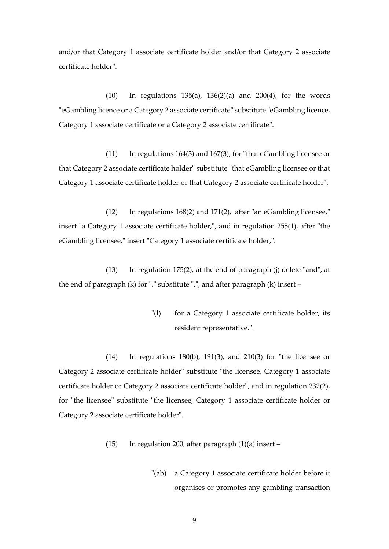and/or that Category 1 associate certificate holder and/or that Category 2 associate certificate holder".

(10) In regulations 135(a), 136(2)(a) and 200(4), for the words "eGambling licence or a Category 2 associate certificate" substitute "eGambling licence, Category 1 associate certificate or a Category 2 associate certificate".

(11) In regulations 164(3) and 167(3), for "that eGambling licensee or that Category 2 associate certificate holder" substitute "that eGambling licensee or that Category 1 associate certificate holder or that Category 2 associate certificate holder".

(12) In regulations 168(2) and 171(2), after "an eGambling licensee," insert "a Category 1 associate certificate holder,", and in regulation 255(1), after "the eGambling licensee," insert "Category 1 associate certificate holder,".

(13) In regulation 175(2), at the end of paragraph (j) delete "and", at the end of paragraph (k) for "." substitute ",", and after paragraph (k) insert –

> "(1) for a Category 1 associate certificate holder, its resident representative.".

(14) In regulations 180(b), 191(3), and 210(3) for "the licensee or Category 2 associate certificate holder" substitute "the licensee, Category 1 associate certificate holder or Category 2 associate certificate holder", and in regulation 232(2), for "the licensee" substitute "the licensee, Category 1 associate certificate holder or Category 2 associate certificate holder".

- (15) In regulation 200, after paragraph  $(1)(a)$  insert
	- "(ab) a Category 1 associate certificate holder before it organises or promotes any gambling transaction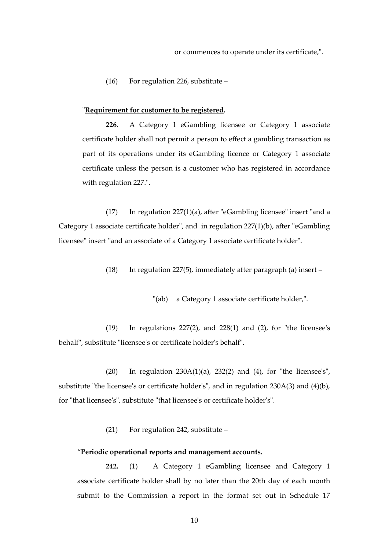(16) For regulation 226, substitute –

#### "**Requirement for customer to be registered.**

**226.** A Category 1 eGambling licensee or Category 1 associate certificate holder shall not permit a person to effect a gambling transaction as part of its operations under its eGambling licence or Category 1 associate certificate unless the person is a customer who has registered in accordance with regulation 227.".

(17) In regulation 227(1)(a), after "eGambling licensee" insert "and a Category 1 associate certificate holder", and in regulation 227(1)(b), after "eGambling licensee" insert "and an associate of a Category 1 associate certificate holder".

(18) In regulation 227(5), immediately after paragraph (a) insert  $-$ 

"(ab) a Category 1 associate certificate holder,".

(19) In regulations 227(2), and 228(1) and (2), for "the licensee's behalf", substitute "licensee's or certificate holder's behalf".

(20) In regulation 230A(1)(a), 232(2) and (4), for "the licensee's", substitute "the licensee's or certificate holder's", and in regulation 230A(3) and (4)(b), for "that licensee's", substitute "that licensee's or certificate holder's".

(21) For regulation 242, substitute –

#### "**Periodic operational reports and management accounts.**

**242.** (1) A Category 1 eGambling licensee and Category 1 associate certificate holder shall by no later than the 20th day of each month submit to the Commission a report in the format set out in Schedule 17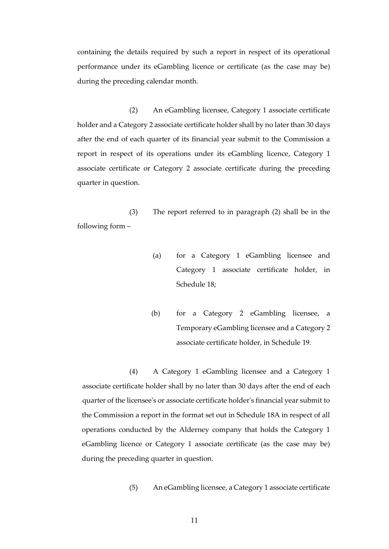containing the details required by such a report in respect of its operational performance under its eGambling licence or certificate (as the case may be) during the preceding calendar month.

(2) An eGambling licensee, Category 1 associate certificate holder and a Category 2 associate certificate holder shall by no later than 30 days after the end of each quarter of its financial year submit to the Commission a report in respect of its operations under its eGambling licence, Category 1 associate certificate or Category 2 associate certificate during the preceding quarter in question.

(3) The report referred to in paragraph (2) shall be in the following form –

- (a) for a Category 1 eGambling licensee and Category 1 associate certificate holder, in Schedule 18;
- (b) for a Category 2 eGambling licensee, a Temporary eGambling licensee and a Category 2 associate certificate holder, in Schedule 19.

(4) A Category 1 eGambling licensee and a Category 1 associate certificate holder shall by no later than 30 days after the end of each quarter of the licensee's or associate certificate holder's financial year submit to the Commission a report in the format set out in Schedule 18A in respect of all operations conducted by the Alderney company that holds the Category 1 eGambling licence or Category 1 associate certificate (as the case may be) during the preceding quarter in question.

(5) An eGambling licensee, a Category 1 associate certificate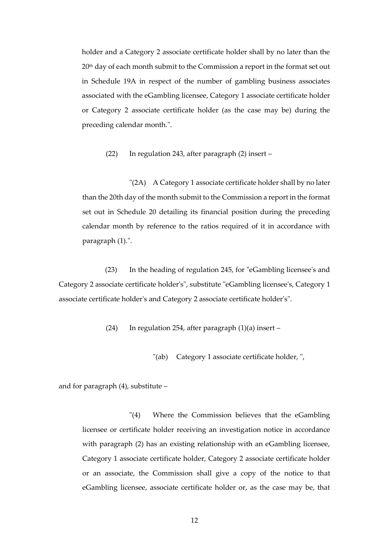holder and a Category 2 associate certificate holder shall by no later than the 20<sup>th</sup> day of each month submit to the Commission a report in the format set out in Schedule 19A in respect of the number of gambling business associates associated with the eGambling licensee, Category 1 associate certificate holder or Category 2 associate certificate holder (as the case may be) during the preceding calendar month.".

(22) In regulation 243, after paragraph (2) insert –

"(2A) A Category 1 associate certificate holder shall by no later than the 20th day of the month submit to the Commission a report in the format set out in Schedule 20 detailing its financial position during the preceding calendar month by reference to the ratios required of it in accordance with paragraph (1).".

(23) In the heading of regulation 245, for "eGambling licensee's and Category 2 associate certificate holder's", substitute "eGambling licensee's, Category 1 associate certificate holder's and Category 2 associate certificate holder's".

(24) In regulation 254, after paragraph  $(1)(a)$  insert –

"(ab) Category 1 associate certificate holder, ",

and for paragraph (4), substitute –

"(4) Where the Commission believes that the eGambling licensee or certificate holder receiving an investigation notice in accordance with paragraph (2) has an existing relationship with an eGambling licensee, Category 1 associate certificate holder, Category 2 associate certificate holder or an associate, the Commission shall give a copy of the notice to that eGambling licensee, associate certificate holder or, as the case may be, that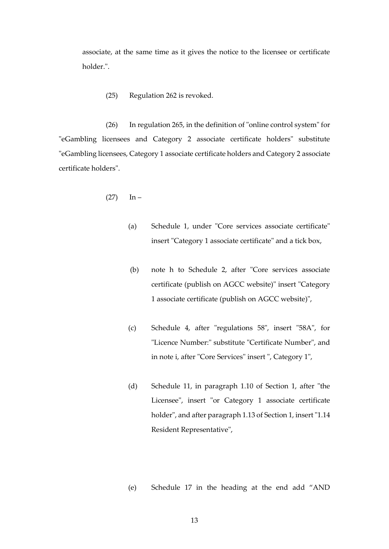associate, at the same time as it gives the notice to the licensee or certificate holder.".

(25) Regulation 262 is revoked.

(26) In regulation 265, in the definition of "online control system" for "eGambling licensees and Category 2 associate certificate holders" substitute "eGambling licensees, Category 1 associate certificate holders and Category 2 associate certificate holders".

$$
(27) \qquad \text{In} \; -
$$

- (a) Schedule 1, under "Core services associate certificate" insert "Category 1 associate certificate" and a tick box,
- (b) note h to Schedule 2, after "Core services associate certificate (publish on AGCC website)" insert "Category 1 associate certificate (publish on AGCC website)",
- (c) Schedule 4, after "regulations 58", insert "58A", for "Licence Number:" substitute "Certificate Number", and in note i, after "Core Services" insert ", Category 1",
- (d) Schedule 11, in paragraph 1.10 of Section 1, after "the Licensee", insert "or Category 1 associate certificate holder", and after paragraph 1.13 of Section 1, insert "1.14 Resident Representative",
- (e) Schedule 17 in the heading at the end add "AND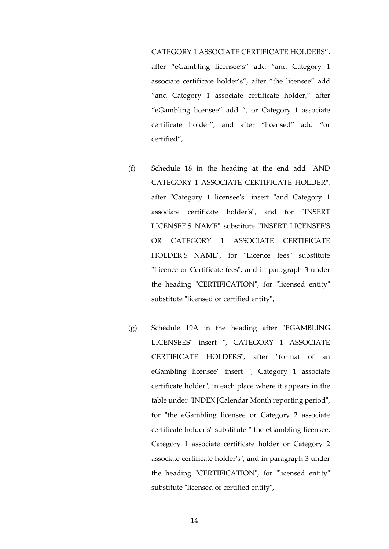#### CATEGORY 1 ASSOCIATE CERTIFICATE HOLDERS",

after "eGambling licensee's" add "and Category 1 associate certificate holder's", after "the licensee" add "and Category 1 associate certificate holder," after "eGambling licensee" add ", or Category 1 associate certificate holder", and after "licensed" add "or certified",

- (f) Schedule 18 in the heading at the end add "AND CATEGORY 1 ASSOCIATE CERTIFICATE HOLDER", after "Category 1 licensee's" insert "and Category 1 associate certificate holder's", and for "INSERT LICENSEE'S NAME" substitute "INSERT LICENSEE'S OR CATEGORY 1 ASSOCIATE CERTIFICATE HOLDER'S NAME", for "Licence fees" substitute "Licence or Certificate fees", and in paragraph 3 under the heading "CERTIFICATION", for "licensed entity" substitute "licensed or certified entity",
- (g) Schedule 19A in the heading after "EGAMBLING LICENSEES" insert ", CATEGORY 1 ASSOCIATE CERTIFICATE HOLDERS", after "format of an eGambling licensee" insert ", Category 1 associate certificate holder", in each place where it appears in the table under "INDEX [Calendar Month reporting period", for "the eGambling licensee or Category 2 associate certificate holder's" substitute " the eGambling licensee, Category 1 associate certificate holder or Category 2 associate certificate holder's", and in paragraph 3 under the heading "CERTIFICATION", for "licensed entity" substitute "licensed or certified entity",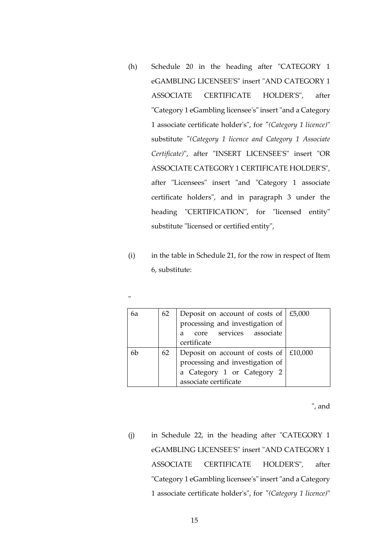- (h) Schedule 20 in the heading after "CATEGORY 1 eGAMBLING LICENSEE'S" insert "AND CATEGORY 1 ASSOCIATE CERTIFICATE HOLDER'S", after "Category 1 eGambling licensee's" insert "and a Category 1 associate certificate holder's", for *"(Category 1 licence)*" substitute *"(Category 1 licence and Category 1 Associate Certificate)*", after "INSERT LICENSEE'S" insert "OR ASSOCIATE CATEGORY 1 CERTIFICATE HOLDER'S", after "Licensees" insert "and "Category 1 associate certificate holders", and in paragraph 3 under the heading "CERTIFICATION", for "licensed entity" substitute "licensed or certified entity",
- (i) in the table in Schedule 21, for the row in respect of Item 6, substitute:

| л.<br>w |  |
|---------|--|
|         |  |

| 6а | 62 | Deposit on account of costs of $\mid$ £5,000   |  |
|----|----|------------------------------------------------|--|
|    |    | processing and investigation of                |  |
|    |    | core services associate<br>a                   |  |
|    |    | certificate                                    |  |
| 6b | 62 | Deposit on account of costs of $\vert$ £10,000 |  |
|    |    | processing and investigation of                |  |
|    |    | a Category 1 or Category 2                     |  |
|    |    | associate certificate                          |  |

", and

(j) in Schedule 22, in the heading after "CATEGORY 1 eGAMBLING LICENSEE'S" insert "AND CATEGORY 1 ASSOCIATE CERTIFICATE HOLDER'S", after "Category 1 eGambling licensee's" insert "and a Category 1 associate certificate holder's", for *"(Category 1 licence)*"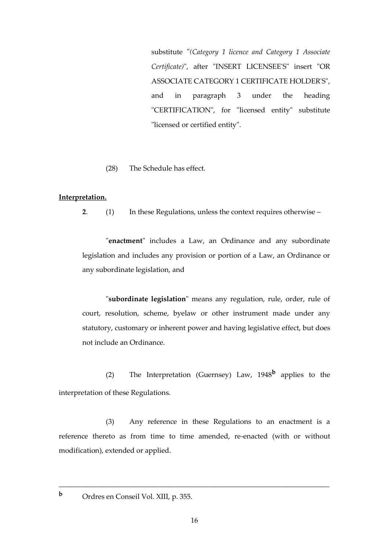substitute *"(Category 1 licence and Category 1 Associate Certificate)*", after "INSERT LICENSEE'S" insert "OR ASSOCIATE CATEGORY 1 CERTIFICATE HOLDER'S", and in paragraph 3 under the heading "CERTIFICATION", for "licensed entity" substitute "licensed or certified entity".

(28) The Schedule has effect.

#### **Interpretation.**

**2**. (1) In these Regulations, unless the context requires otherwise –

"**enactment**" includes a Law, an Ordinance and any subordinate legislation and includes any provision or portion of a Law, an Ordinance or any subordinate legislation, and

"**subordinate legislation**" means any regulation, rule, order, rule of court, resolution, scheme, byelaw or other instrument made under any statutory, customary or inherent power and having legislative effect, but does not include an Ordinance.

(2) The Interpretation (Guernsey) Law, 1948**<sup>b</sup>** applies to the interpretation of these Regulations.

(3) Any reference in these Regulations to an enactment is a reference thereto as from time to time amended, re-enacted (with or without modification), extended or applied.

\_\_\_\_\_\_\_\_\_\_\_\_\_\_\_\_\_\_\_\_\_\_\_\_\_\_\_\_\_\_\_\_\_\_\_\_\_\_\_\_\_\_\_\_\_\_\_\_\_\_\_\_\_\_\_\_\_\_\_\_\_\_\_\_\_\_\_\_\_

**<sup>b</sup>** Ordres en Conseil Vol. XIII, p. 355.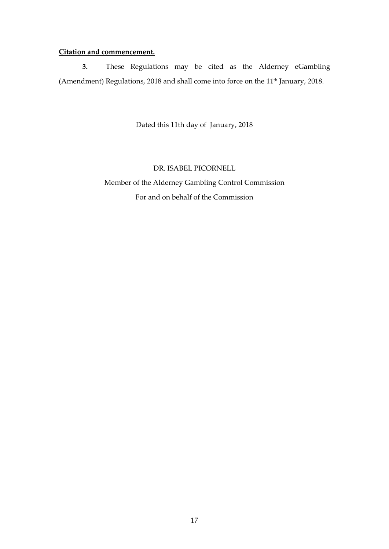# **Citation and commencement.**

**3.** These Regulations may be cited as the Alderney eGambling (Amendment) Regulations, 2018 and shall come into force on the 11<sup>th</sup> January, 2018.

Dated this 11th day of January, 2018

# DR. ISABEL PICORNELL

Member of the Alderney Gambling Control Commission For and on behalf of the Commission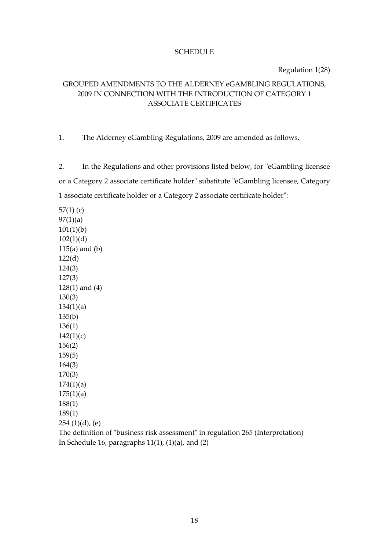#### **SCHEDULE**

Regulation 1(28)

# GROUPED AMENDMENTS TO THE ALDERNEY eGAMBLING REGULATIONS, 2009 IN CONNECTION WITH THE INTRODUCTION OF CATEGORY 1 ASSOCIATE CERTIFICATES

1. The Alderney eGambling Regulations, 2009 are amended as follows.

2. In the Regulations and other provisions listed below, for "eGambling licensee or a Category 2 associate certificate holder" substitute "eGambling licensee, Category 1 associate certificate holder or a Category 2 associate certificate holder":

57(1) (c)  $97(1)(a)$ 101(1)(b)  $102(1)(d)$ 115(a) and (b) 122(d) 124(3) 127(3) 128(1) and (4) 130(3)  $134(1)(a)$ 135(b) 136(1)  $142(1)(c)$ 156(2) 159(5) 164(3) 170(3)  $174(1)(a)$  $175(1)(a)$ 188(1) 189(1) 254 (1)(d), (e)

The definition of "business risk assessment" in regulation 265 (Interpretation) In Schedule 16, paragraphs  $11(1)$ ,  $(1)(a)$ , and  $(2)$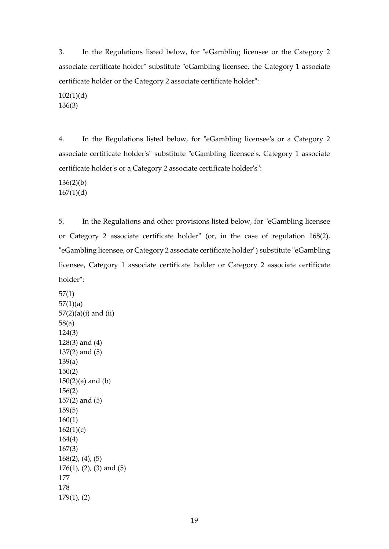3. In the Regulations listed below, for "eGambling licensee or the Category 2 associate certificate holder" substitute "eGambling licensee, the Category 1 associate certificate holder or the Category 2 associate certificate holder":

102(1)(d) 136(3)

4. In the Regulations listed below, for "eGambling licensee's or a Category 2 associate certificate holder's" substitute "eGambling licensee's, Category 1 associate certificate holder's or a Category 2 associate certificate holder's":

136(2)(b)  $167(1)(d)$ 

5. In the Regulations and other provisions listed below, for "eGambling licensee or Category 2 associate certificate holder" (or, in the case of regulation 168(2), "eGambling licensee, or Category 2 associate certificate holder") substitute "eGambling licensee, Category 1 associate certificate holder or Category 2 associate certificate holder":

57(1)  $57(1)(a)$ 57(2)(a)(i) and (ii) 58(a) 124(3) 128(3) and (4) 137(2) and (5) 139(a) 150(2)  $150(2)(a)$  and  $(b)$ 156(2) 157(2) and (5) 159(5) 160(1)  $162(1)(c)$ 164(4) 167(3) 168(2), (4), (5) 176(1), (2), (3) and (5) 177 178 179(1), (2)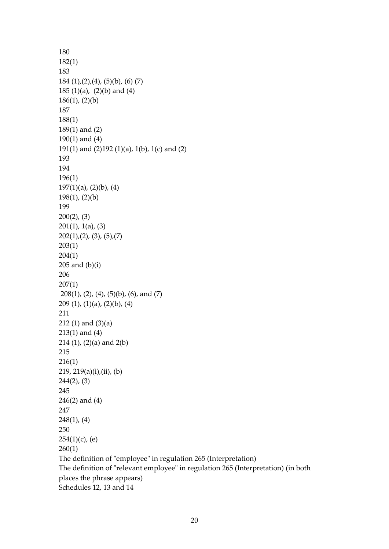```
180
182(1)
183
184 (1),(2),(4), (5)(b), (6) (7)185 (1)(a), (2)(b) and (4)
186(1), (2)(b)
187
188(1) 
189(1) and (2)
190(1) and (4) 
191(1) and (2)192 (1)(a), 1(b), 1(c) and (2)
193
194
196(1)
197(1)(a), (2)(b), (4)198(1), (2)(b)
199
200(2), (3)
201(1), 1(a), (3)
202(1),(2),(3),(5),(7)203(1)
204(1)
205 and (b)(i)
206
207(1)
208(1), (2), (4), (5)(b), (6), and (7)
209 (1), (1)(a), (2)(b), (4)
211
212 (1) and (3)(a)
213(1) and (4)
214 (1), (2)(a) and 2(b)
215
216(1)
219, 219(a)(i),(ii), (b)
244(2), (3)
245
246(2) and (4)
247
248(1), (4)
250
254(1)(c), (e)
260(1)
The definition of "employee" in regulation 265 (Interpretation)
The definition of "relevant employee" in regulation 265 (Interpretation) (in both 
places the phrase appears)
Schedules 12, 13 and 14
```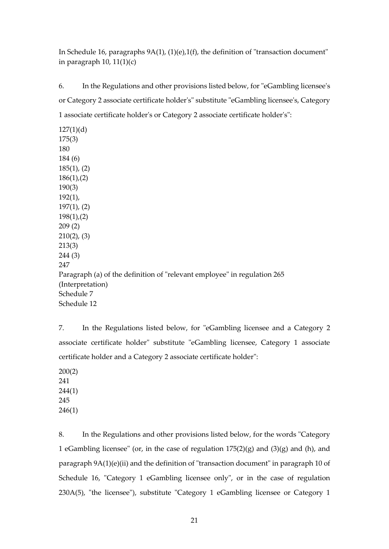In Schedule 16, paragraphs 9A(1), (1)(e),1(f), the definition of "transaction document" in paragraph 10,  $11(1)(c)$ 

6. In the Regulations and other provisions listed below, for "eGambling licensee's or Category 2 associate certificate holder's" substitute "eGambling licensee's, Category 1 associate certificate holder's or Category 2 associate certificate holder's":

 $127(1)(d)$ 175(3) 180 184 (6) 185(1), (2) 186(1),(2) 190(3) 192(1), 197(1), (2) 198(1),(2) 209 (2) 210(2), (3) 213(3) 244 (3) 247 Paragraph (a) of the definition of "relevant employee" in regulation 265 (Interpretation) Schedule 7 Schedule 12

7. In the Regulations listed below, for "eGambling licensee and a Category 2 associate certificate holder" substitute "eGambling licensee, Category 1 associate certificate holder and a Category 2 associate certificate holder":

200(2) 241 244(1) 245 246(1)

8. In the Regulations and other provisions listed below, for the words "Category 1 eGambling licensee" (or, in the case of regulation  $175(2)(g)$  and  $(3)(g)$  and  $(h)$ , and paragraph 9A(1)(e)(ii) and the definition of "transaction document" in paragraph 10 of Schedule 16, "Category 1 eGambling licensee only", or in the case of regulation 230A(5), "the licensee"), substitute "Category 1 eGambling licensee or Category 1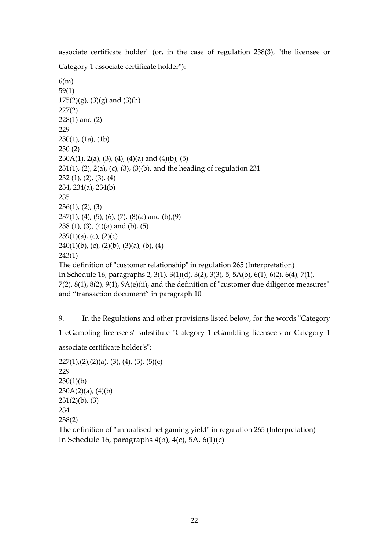associate certificate holder" (or, in the case of regulation 238(3), "the licensee or Category 1 associate certificate holder"):

```
6(m)
59(1)
175(2)(g), (3)(g) and (3)(h)227(2)
228(1) and (2)
229
230(1), (1a), (1b)
230 (2)
230A(1), 2(a), (3), (4), (4)(a) and (4)(b), (5)231(1), (2), 2(a), (c), (3), (3)(b), and the heading of regulation 231
232 (1), (2), (3), (4)
234, 234(a), 234(b)
235
236(1), (2), (3)
237(1), (4), (5), (6), (7), (8)(a) and (b), (9)
238 (1), (3), (4)(a) and (b), (5)
239(1)(a), (c), (2)(c)
240(1)(b), (c), (2)(b), (3)(a), (b), (4)
243(1)
The definition of "customer relationship" in regulation 265 (Interpretation)
In Schedule 16, paragraphs 2, 3(1), 3(1)(d), 3(2), 3(3), 5, 5A(b), 6(1), 6(2), 6(4), 7(1), 
7(2), 8(1), 8(2), 9(1), 9A(e)(ii), and the definition of "customer due diligence measures" 
and "transaction document" in paragraph 10
```
9. In the Regulations and other provisions listed below, for the words "Category

1 eGambling licensee's" substitute "Category 1 eGambling licensee's or Category 1

associate certificate holder's":

```
227(1),(2),(2)(a), (3), (4), (5), (5)(c)
229
230(1)(b)230A(2)(a), (4)(b)231(2)(b), (3)
234
238(2)
The definition of "annualised net gaming yield" in regulation 265 (Interpretation)
In Schedule 16, paragraphs 4(b), 4(c), 5A, 6(1)(c)
```